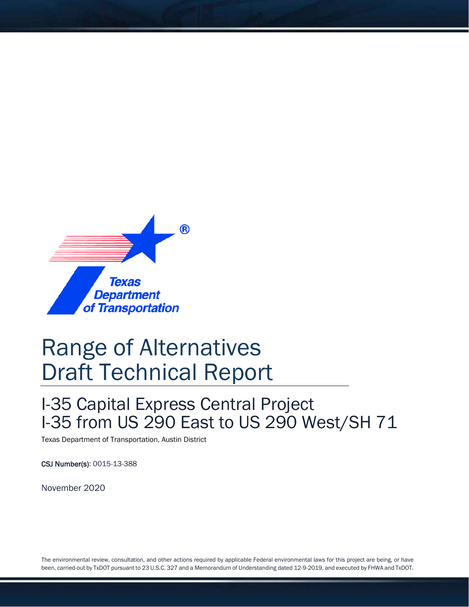

# Range of Alternatives Draft Technical Report

## I-35 Capital Express Central Project I-35 from US 290 East to US 290 West/SH 71

Texas Department of Transportation, Austin District

CSJ Number(s): 0015-13-388

November 2020

The environmental review, consultation, and other actions required by applicable Federal environmental laws for this project are being, or have been, carried-out by TxDOT pursuant to 23 U.S.C. 327 and a Memorandum of Understanding dated 12-9-2019, and executed by FHWA and TxDOT.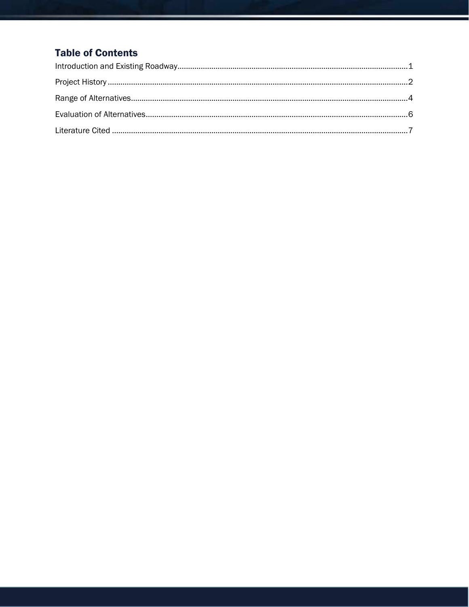## **Table of Contents**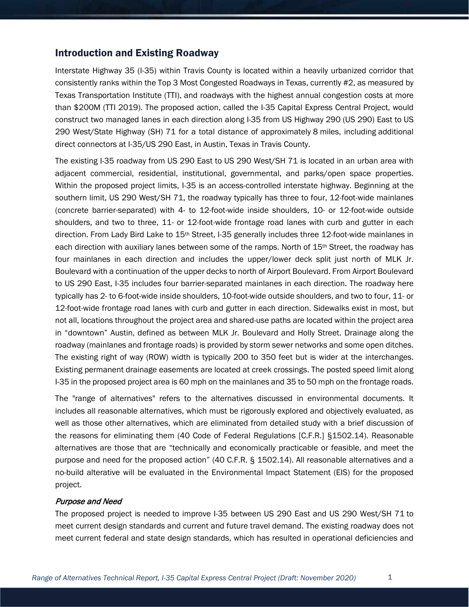#### <span id="page-2-0"></span>Introduction and Existing Roadway

Interstate Highway 35 (I-35) within Travis County is located within a heavily urbanized corridor that consistently ranks within the Top 3 Most Congested Roadways in Texas, currently #2, as measured by Texas Transportation Institute (TTI), and roadways with the highest annual congestion costs at more than \$200M (TTI 2019). The proposed action, called the I-35 Capital Express Central Project, would construct two managed lanes in each direction along I-35 from US Highway 290 (US 290) East to US 290 West/State Highway (SH) 71 for a total distance of approximately 8 miles, including additional direct connectors at I-35/US 290 East, in Austin, Texas in Travis County.

The existing I-35 roadway from US 290 East to US 290 West/SH 71 is located in an urban area with adjacent commercial, residential, institutional, governmental, and parks/open space properties. Within the proposed project limits, I-35 is an access-controlled interstate highway. Beginning at the southern limit, US 290 West/SH 71, the roadway typically has three to four, 12-foot-wide mainlanes (concrete barrier-separated) with 4- to 12-foot-wide inside shoulders, 10- or 12-foot-wide outside shoulders, and two to three, 11- or 12-foot-wide frontage road lanes with curb and gutter in each direction. From Lady Bird Lake to 15th Street, I-35 generally includes three 12-foot-wide mainlanes in each direction with auxiliary lanes between some of the ramps. North of 15<sup>th</sup> Street, the roadway has four mainlanes in each direction and includes the upper/lower deck split just north of MLK Jr. Boulevard with a continuation of the upper decks to north of Airport Boulevard. From Airport Boulevard to US 290 East, I-35 includes four barrier-separated mainlanes in each direction. The roadway here typically has 2- to 6-foot-wide inside shoulders, 10-foot-wide outside shoulders, and two to four, 11- or 12-foot-wide frontage road lanes with curb and gutter in each direction. Sidewalks exist in most, but not all, locations throughout the project area and shared-use paths are located within the project area in "downtown" Austin, defined as between MLK Jr. Boulevard and Holly Street. Drainage along the roadway (mainlanes and frontage roads) is provided by storm sewer networks and some open ditches. The existing right of way (ROW) width is typically 200 to 350 feet but is wider at the interchanges. Existing permanent drainage easements are located at creek crossings. The posted speed limit along I-35 in the proposed project area is 60 mph on the mainlanes and 35 to 50 mph on the frontage roads.

The "range of alternatives" refers to the alternatives discussed in environmental documents. It includes all reasonable alternatives, which must be rigorously explored and objectively evaluated, as well as those other alternatives, which are eliminated from detailed study with a brief discussion of the reasons for eliminating them (40 Code of Federal Regulations [C.F.R.] §1502.14). Reasonable alternatives are those that are "technically and economically practicable or feasible, and meet the purpose and need for the proposed action" (40 C.F.R. § 1502.14). All reasonable alternatives and a no-build alterative will be evaluated in the Environmental Impact Statement (EIS) for the proposed project.

#### Purpose and Need

The proposed project is needed to improve I-35 between US 290 East and US 290 West/SH 71 to meet current design standards and current and future travel demand. The existing roadway does not meet current federal and state design standards, which has resulted in operational deficiencies and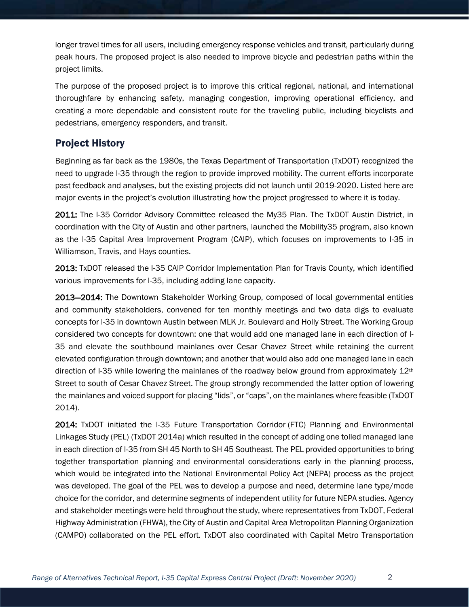longer travel times for all users, including emergency response vehicles and transit, particularly during peak hours. The proposed project is also needed to improve bicycle and pedestrian paths within the project limits.

The purpose of the proposed project is to improve this critical regional, national, and international thoroughfare by enhancing safety, managing congestion, improving operational efficiency, and creating a more dependable and consistent route for the traveling public, including bicyclists and pedestrians, emergency responders, and transit.

### <span id="page-3-0"></span>Project History

Beginning as far back as the 1980s, the Texas Department of Transportation (TxDOT) recognized the need to upgrade I-35 through the region to provide improved mobility. The current efforts incorporate past feedback and analyses, but the existing projects did not launch until 2019-2020. Listed here are major events in the project's evolution illustrating how the project progressed to where it is today.

2011: The I-35 Corridor Advisory Committee released the My35 Plan. The TxDOT Austin District, in coordination with the City of Austin and other partners, launched the Mobility35 program, also known as the I-35 Capital Area Improvement Program (CAIP), which focuses on improvements to I-35 in Williamson, Travis, and Hays counties.

2013: TxDOT released the I-35 CAIP Corridor Implementation Plan for Travis County, which identified various improvements for I-35, including adding lane capacity.

2013—2014: The Downtown Stakeholder Working Group, composed of local governmental entities and community stakeholders, convened for ten monthly meetings and two data digs to evaluate concepts for I-35 in downtown Austin between MLK Jr. Boulevard and Holly Street. The Working Group considered two concepts for downtown: one that would add one managed lane in each direction of I-35 and elevate the southbound mainlanes over Cesar Chavez Street while retaining the current elevated configuration through downtown; and another that would also add one managed lane in each direction of I-35 while lowering the mainlanes of the roadway below ground from approximately 12<sup>th</sup> Street to south of Cesar Chavez Street. The group strongly recommended the latter option of lowering the mainlanes and voiced support for placing "lids", or "caps", on the mainlanes where feasible (TxDOT 2014).

2014: TxDOT initiated the I-35 Future Transportation Corridor (FTC) Planning and Environmental Linkages Study (PEL) (TxDOT 2014a) which resulted in the concept of adding one tolled managed lane in each direction of I-35 from SH 45 North to SH 45 Southeast. The PEL provided opportunities to bring together transportation planning and environmental considerations early in the planning process, which would be integrated into the National Environmental Policy Act (NEPA) process as the project was developed. The goal of the PEL was to develop a purpose and need, determine lane type/mode choice for the corridor, and determine segments of independent utility for future NEPA studies. Agency and stakeholder meetings were held throughout the study, where representatives from TxDOT, Federal Highway Administration (FHWA), the City of Austin and Capital Area Metropolitan Planning Organization (CAMPO) collaborated on the PEL effort. TxDOT also coordinated with Capital Metro Transportation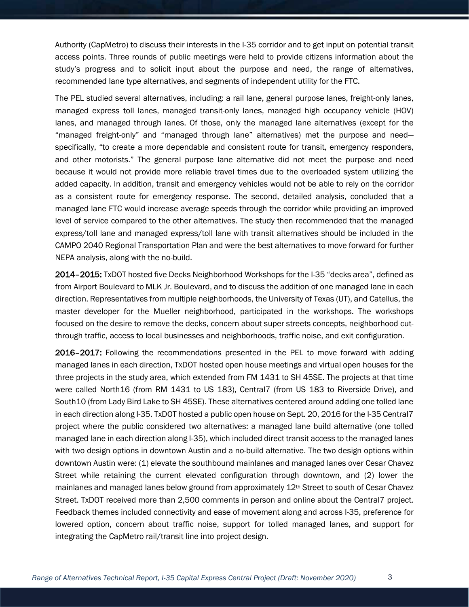Authority (CapMetro) to discuss their interests in the I-35 corridor and to get input on potential transit access points. Three rounds of public meetings were held to provide citizens information about the study's progress and to solicit input about the purpose and need, the range of alternatives, recommended lane type alternatives, and segments of independent utility for the FTC.

The PEL studied several alternatives, including: a rail lane, general purpose lanes, freight-only lanes, managed express toll lanes, managed transit-only lanes, managed high occupancy vehicle (HOV) lanes, and managed through lanes. Of those, only the managed lane alternatives (except for the "managed freight-only" and "managed through lane" alternatives) met the purpose and need specifically, "to create a more dependable and consistent route for transit, emergency responders, and other motorists." The general purpose lane alternative did not meet the purpose and need because it would not provide more reliable travel times due to the overloaded system utilizing the added capacity. In addition, transit and emergency vehicles would not be able to rely on the corridor as a consistent route for emergency response. The second, detailed analysis, concluded that a managed lane FTC would increase average speeds through the corridor while providing an improved level of service compared to the other alternatives. The study then recommended that the managed express/toll lane and managed express/toll lane with transit alternatives should be included in the CAMPO 2040 Regional Transportation Plan and were the best alternatives to move forward for further NEPA analysis, along with the no-build.

2014–2015: TxDOT hosted five Decks Neighborhood Workshops for the I-35 "decks area", defined as from Airport Boulevard to MLK Jr. Boulevard, and to discuss the addition of one managed lane in each direction. Representatives from multiple neighborhoods, the University of Texas (UT), and Catellus, the master developer for the Mueller neighborhood, participated in the workshops. The workshops focused on the desire to remove the decks, concern about super streets concepts, neighborhood cutthrough traffic, access to local businesses and neighborhoods, traffic noise, and exit configuration.

2016–2017: Following the recommendations presented in the PEL to move forward with adding managed lanes in each direction, TxDOT hosted open house meetings and virtual open houses for the three projects in the study area, which extended from FM 1431 to SH 45SE. The projects at that time were called North16 (from RM 1431 to US 183), Central7 (from US 183 to Riverside Drive), and South10 (from Lady Bird Lake to SH 45SE). These alternatives centered around adding one tolled lane in each direction along I-35. TxDOT hosted a public open house on Sept. 20, 2016 for the I-35 Central7 project where the public considered two alternatives: a managed lane build alternative (one tolled managed lane in each direction along I-35), which included direct transit access to the managed lanes with two design options in downtown Austin and a no-build alternative. The two design options within downtown Austin were: (1) elevate the southbound mainlanes and managed lanes over Cesar Chavez Street while retaining the current elevated configuration through downtown, and (2) lower the mainlanes and managed lanes below ground from approximately 12th Street to south of Cesar Chavez Street. TxDOT received more than 2,500 comments in person and online about the Central7 project. Feedback themes included connectivity and ease of movement along and across I-35, preference for lowered option, concern about traffic noise, support for tolled managed lanes, and support for integrating the CapMetro rail/transit line into project design.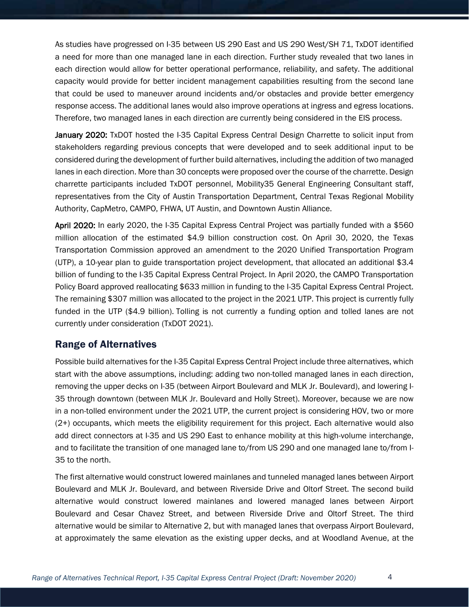As studies have progressed on I-35 between US 290 East and US 290 West/SH 71, TxDOT identified a need for more than one managed lane in each direction. Further study revealed that two lanes in each direction would allow for better operational performance, reliability, and safety. The additional capacity would provide for better incident management capabilities resulting from the second lane that could be used to maneuver around incidents and/or obstacles and provide better emergency response access. The additional lanes would also improve operations at ingress and egress locations. Therefore, two managed lanes in each direction are currently being considered in the EIS process.

January 2020: TxDOT hosted the I-35 Capital Express Central Design Charrette to solicit input from stakeholders regarding previous concepts that were developed and to seek additional input to be considered during the development of further build alternatives, including the addition of two managed lanes in each direction. More than 30 concepts were proposed over the course of the charrette. Design charrette participants included TxDOT personnel, Mobility35 General Engineering Consultant staff, representatives from the City of Austin Transportation Department, Central Texas Regional Mobility Authority, CapMetro, CAMPO, FHWA, UT Austin, and Downtown Austin Alliance.

April 2020: In early 2020, the I-35 Capital Express Central Project was partially funded with a \$560 million allocation of the estimated \$4.9 billion construction cost. On April 30, 2020, the Texas Transportation Commission approved an amendment to the 2020 Unified Transportation Program (UTP), a 10-year plan to guide transportation project development, that allocated an additional \$3.4 billion of funding to the I-35 Capital Express Central Project. In April 2020, the CAMPO Transportation Policy Board approved reallocating \$633 million in funding to the I-35 Capital Express Central Project. The remaining \$307 million was allocated to the project in the 2021 UTP. This project is currently fully funded in the UTP (\$4.9 billion). Tolling is not currently a funding option and tolled lanes are not currently under consideration (TxDOT 2021).

## <span id="page-5-0"></span>Range of Alternatives

Possible build alternatives for the I-35 Capital Express Central Project include three alternatives, which start with the above assumptions, including: adding two non-tolled managed lanes in each direction, removing the upper decks on I-35 (between Airport Boulevard and MLK Jr. Boulevard), and lowering I-35 through downtown (between MLK Jr. Boulevard and Holly Street). Moreover, because we are now in a non-tolled environment under the 2021 UTP, the current project is considering HOV, two or more (2+) occupants, which meets the eligibility requirement for this project. Each alternative would also add direct connectors at I-35 and US 290 East to enhance mobility at this high-volume interchange, and to facilitate the transition of one managed lane to/from US 290 and one managed lane to/from I-35 to the north.

The first alternative would construct lowered mainlanes and tunneled managed lanes between Airport Boulevard and MLK Jr. Boulevard, and between Riverside Drive and Oltorf Street. The second build alternative would construct lowered mainlanes and lowered managed lanes between Airport Boulevard and Cesar Chavez Street, and between Riverside Drive and Oltorf Street. The third alternative would be similar to Alternative 2, but with managed lanes that overpass Airport Boulevard, at approximately the same elevation as the existing upper decks, and at Woodland Avenue, at the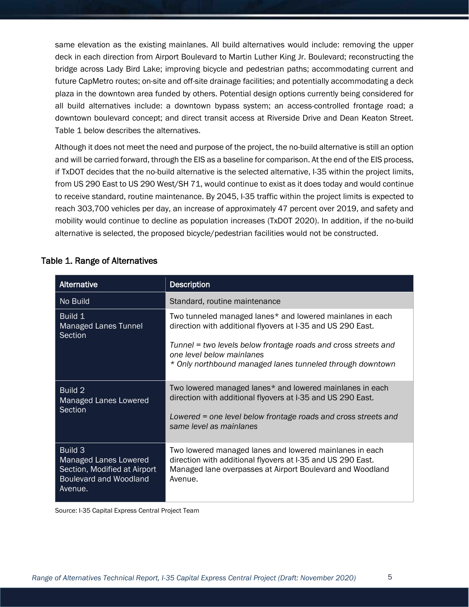same elevation as the existing mainlanes. All build alternatives would include: removing the upper deck in each direction from Airport Boulevard to Martin Luther King Jr. Boulevard; reconstructing the bridge across Lady Bird Lake; improving bicycle and pedestrian paths; accommodating current and future CapMetro routes; on-site and off-site drainage facilities; and potentially accommodating a deck plaza in the downtown area funded by others. Potential design options currently being considered for all build alternatives include: a downtown bypass system; an access-controlled frontage road; a downtown boulevard concept; and direct transit access at Riverside Drive and Dean Keaton Street. Table 1 below describes the alternatives.

Although it does not meet the need and purpose of the project, the no-build alternative is still an option and will be carried forward, through the EIS as a baseline for comparison. At the end of the EIS process, if TxDOT decides that the no-build alternative is the selected alternative, I-35 within the project limits, from US 290 East to US 290 West/SH 71, would continue to exist as it does today and would continue to receive standard, routine maintenance. By 2045, I-35 traffic within the project limits is expected to reach 303,700 vehicles per day, an increase of approximately 47 percent over 2019, and safety and mobility would continue to decline as population increases (TxDOT 2020). In addition, if the no-build alternative is selected, the proposed bicycle/pedestrian facilities would not be constructed.

| Alternative                                                                                                         | <b>Description</b>                                                                                                                                                                                                                                                                   |
|---------------------------------------------------------------------------------------------------------------------|--------------------------------------------------------------------------------------------------------------------------------------------------------------------------------------------------------------------------------------------------------------------------------------|
| No Build                                                                                                            | Standard, routine maintenance                                                                                                                                                                                                                                                        |
| Build 1<br>Managed Lanes Tunnel<br>Section                                                                          | Two tunneled managed lanes* and lowered mainlanes in each<br>direction with additional flyovers at I-35 and US 290 East.<br>Tunnel = two levels below frontage roads and cross streets and<br>one level below mainlanes<br>* Only northbound managed lanes tunneled through downtown |
| Build 2<br>Managed Lanes Lowered<br>Section                                                                         | Two lowered managed lanes* and lowered mainlanes in each<br>direction with additional flyovers at I-35 and US 290 East.<br>Lowered = one level below frontage roads and cross streets and<br>same level as mainlanes                                                                 |
| <b>Build 3</b><br>Managed Lanes Lowered<br>Section, Modified at Airport<br><b>Boulevard and Woodland</b><br>Avenue. | Two lowered managed lanes and lowered mainlanes in each<br>direction with additional flyovers at I-35 and US 290 East.<br>Managed lane overpasses at Airport Boulevard and Woodland<br>Avenue.                                                                                       |

#### Table 1. Range of Alternatives

Source: I-35 Capital Express Central Project Team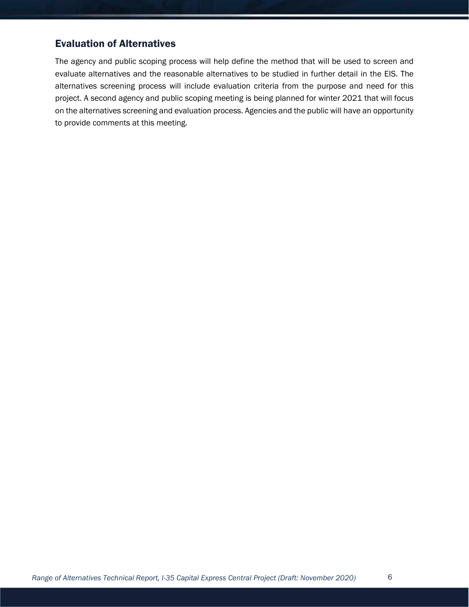## <span id="page-7-0"></span>Evaluation of Alternatives

The agency and public scoping process will help define the method that will be used to screen and evaluate alternatives and the reasonable alternatives to be studied in further detail in the EIS. The alternatives screening process will include evaluation criteria from the purpose and need for this project. A second agency and public scoping meeting is being planned for winter 2021 that will focus on the alternatives screening and evaluation process. Agencies and the public will have an opportunity to provide comments at this meeting.